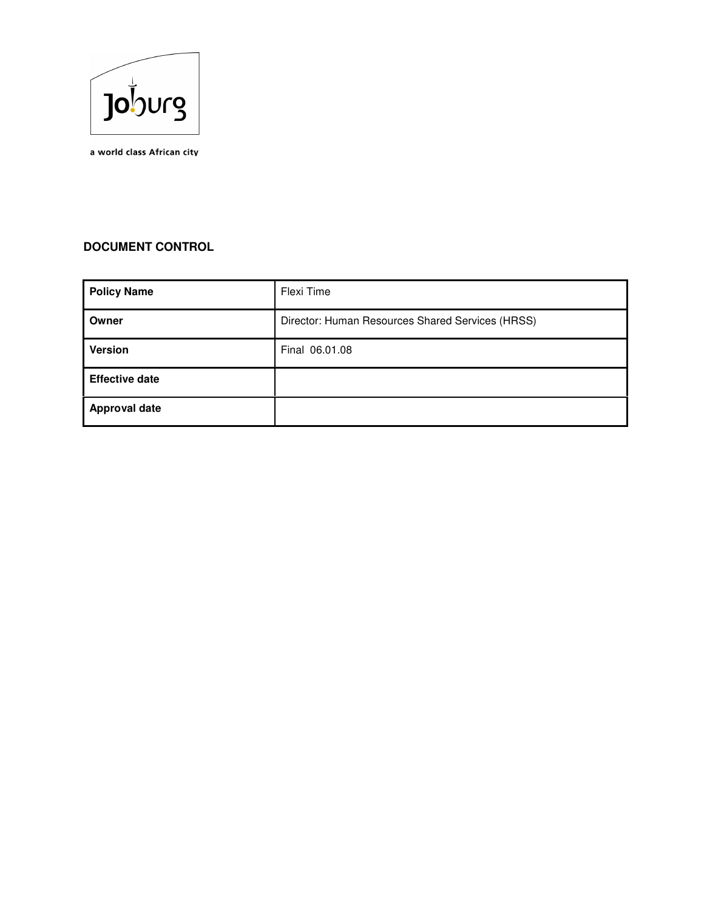

a world class African city

# **DOCUMENT CONTROL**

| <b>Policy Name</b>    | Flexi Time                                       |
|-----------------------|--------------------------------------------------|
| Owner                 | Director: Human Resources Shared Services (HRSS) |
| <b>Version</b>        | Final 06.01.08                                   |
| <b>Effective date</b> |                                                  |
| <b>Approval date</b>  |                                                  |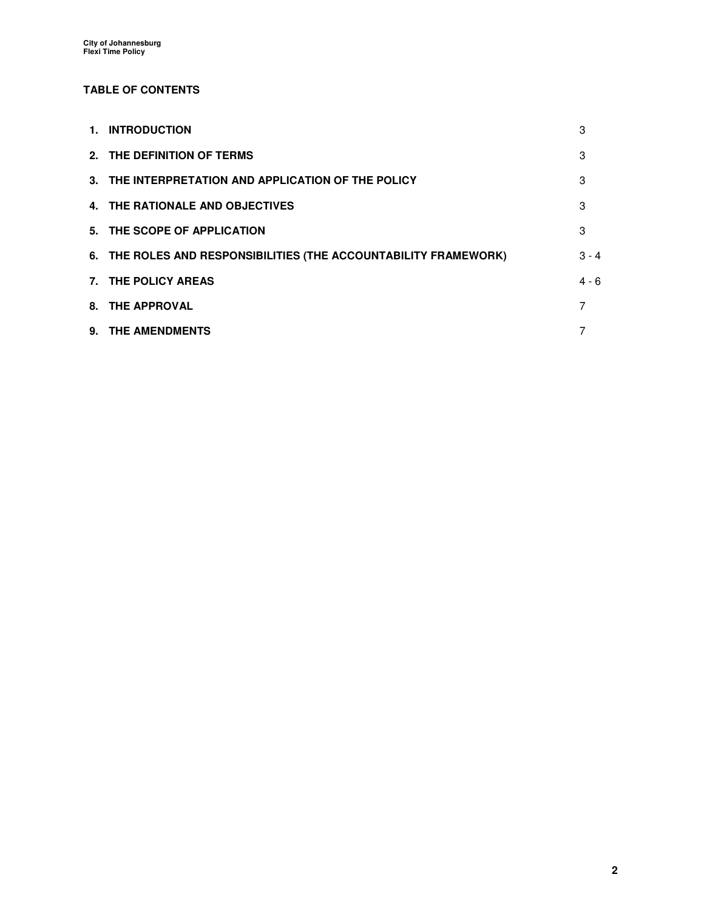# **TABLE OF CONTENTS**

| 1. INTRODUCTION                                                  | 3       |
|------------------------------------------------------------------|---------|
| 2. THE DEFINITION OF TERMS                                       | 3       |
| 3. THE INTERPRETATION AND APPLICATION OF THE POLICY              | 3       |
| 4. THE RATIONALE AND OBJECTIVES                                  | 3       |
| 5. THE SCOPE OF APPLICATION                                      | 3       |
| 6. THE ROLES AND RESPONSIBILITIES (THE ACCOUNTABILITY FRAMEWORK) | $3 - 4$ |
| 7. THE POLICY AREAS                                              | $4 - 6$ |
| 8. THE APPROVAL                                                  | 7       |
| 9. THE AMENDMENTS                                                |         |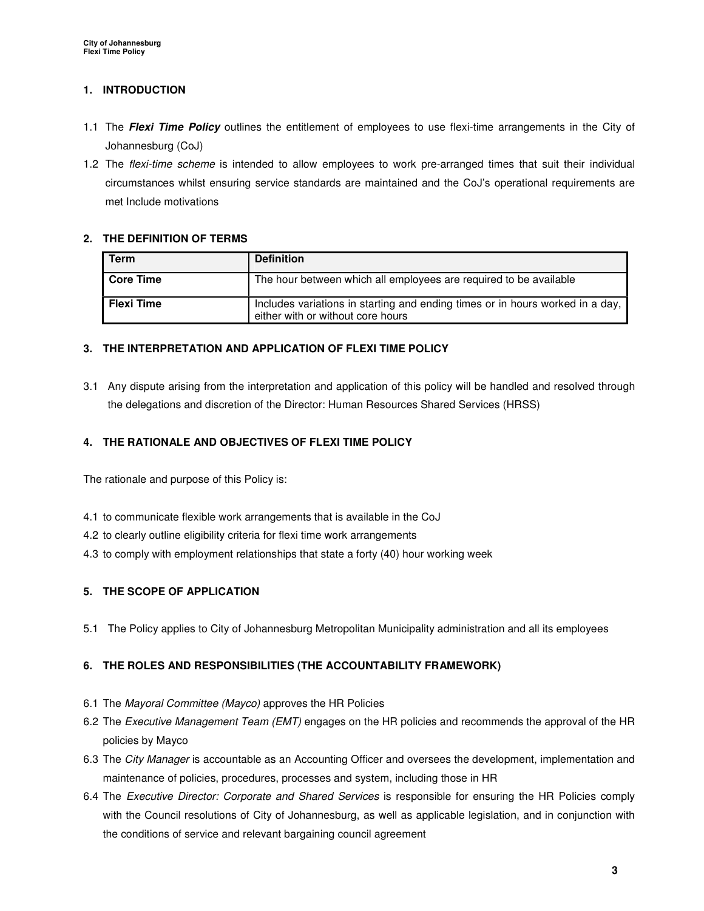# **1. INTRODUCTION**

- 1.1 The **Flexi Time Policy** outlines the entitlement of employees to use flexi-time arrangements in the City of Johannesburg (CoJ)
- 1.2 The flexi-time scheme is intended to allow employees to work pre-arranged times that suit their individual circumstances whilst ensuring service standards are maintained and the CoJ's operational requirements are met Include motivations

### **2. THE DEFINITION OF TERMS**

| Term              | <b>Definition</b>                                                                                                  |
|-------------------|--------------------------------------------------------------------------------------------------------------------|
| l Core Time       | The hour between which all employees are required to be available                                                  |
| <b>Flexi Time</b> | Includes variations in starting and ending times or in hours worked in a day,<br>either with or without core hours |

### **3. THE INTERPRETATION AND APPLICATION OF FLEXI TIME POLICY**

3.1 Any dispute arising from the interpretation and application of this policy will be handled and resolved through the delegations and discretion of the Director: Human Resources Shared Services (HRSS)

# **4. THE RATIONALE AND OBJECTIVES OF FLEXI TIME POLICY**

The rationale and purpose of this Policy is:

- 4.1 to communicate flexible work arrangements that is available in the CoJ
- 4.2 to clearly outline eligibility criteria for flexi time work arrangements
- 4.3 to comply with employment relationships that state a forty (40) hour working week

# **5. THE SCOPE OF APPLICATION**

5.1 The Policy applies to City of Johannesburg Metropolitan Municipality administration and all its employees

# **6. THE ROLES AND RESPONSIBILITIES (THE ACCOUNTABILITY FRAMEWORK)**

- 6.1 The Mayoral Committee (Mayco) approves the HR Policies
- 6.2 The Executive Management Team (EMT) engages on the HR policies and recommends the approval of the HR policies by Mayco
- 6.3 The City Manager is accountable as an Accounting Officer and oversees the development, implementation and maintenance of policies, procedures, processes and system, including those in HR
- 6.4 The Executive Director: Corporate and Shared Services is responsible for ensuring the HR Policies comply with the Council resolutions of City of Johannesburg, as well as applicable legislation, and in conjunction with the conditions of service and relevant bargaining council agreement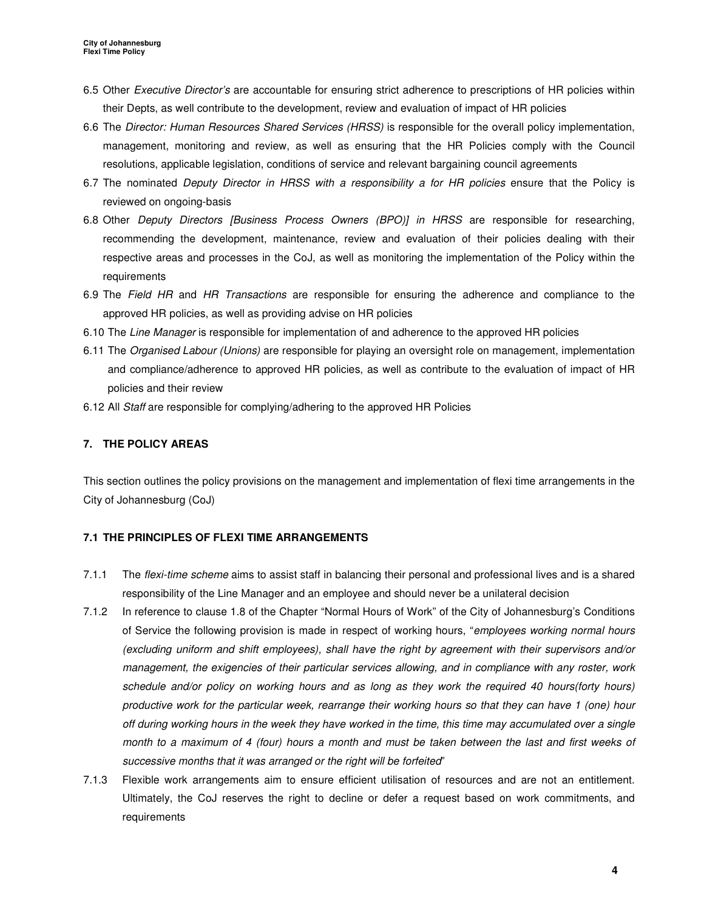- 6.5 Other Executive Director's are accountable for ensuring strict adherence to prescriptions of HR policies within their Depts, as well contribute to the development, review and evaluation of impact of HR policies
- 6.6 The Director: Human Resources Shared Services (HRSS) is responsible for the overall policy implementation, management, monitoring and review, as well as ensuring that the HR Policies comply with the Council resolutions, applicable legislation, conditions of service and relevant bargaining council agreements
- 6.7 The nominated Deputy Director in HRSS with a responsibility a for HR policies ensure that the Policy is reviewed on ongoing-basis
- 6.8 Other Deputy Directors [Business Process Owners (BPO)] in HRSS are responsible for researching, recommending the development, maintenance, review and evaluation of their policies dealing with their respective areas and processes in the CoJ, as well as monitoring the implementation of the Policy within the requirements
- 6.9 The Field HR and HR Transactions are responsible for ensuring the adherence and compliance to the approved HR policies, as well as providing advise on HR policies
- 6.10 The Line Manager is responsible for implementation of and adherence to the approved HR policies
- 6.11 The Organised Labour (Unions) are responsible for playing an oversight role on management, implementation and compliance/adherence to approved HR policies, as well as contribute to the evaluation of impact of HR policies and their review
- 6.12 All Staff are responsible for complying/adhering to the approved HR Policies

# **7. THE POLICY AREAS**

This section outlines the policy provisions on the management and implementation of flexi time arrangements in the City of Johannesburg (CoJ)

### **7.1 THE PRINCIPLES OF FLEXI TIME ARRANGEMENTS**

- 7.1.1 The flexi-time scheme aims to assist staff in balancing their personal and professional lives and is a shared responsibility of the Line Manager and an employee and should never be a unilateral decision
- 7.1.2 In reference to clause 1.8 of the Chapter "Normal Hours of Work" of the City of Johannesburg's Conditions of Service the following provision is made in respect of working hours, "employees working normal hours (excluding uniform and shift employees), shall have the right by agreement with their supervisors and/or management, the exigencies of their particular services allowing, and in compliance with any roster, work schedule and/or policy on working hours and as long as they work the required 40 hours(forty hours) productive work for the particular week, rearrange their working hours so that they can have 1 (one) hour off during working hours in the week they have worked in the time, this time may accumulated over a single month to a maximum of 4 (four) hours a month and must be taken between the last and first weeks of successive months that it was arranged or the right will be forfeited"
- 7.1.3 Flexible work arrangements aim to ensure efficient utilisation of resources and are not an entitlement. Ultimately, the CoJ reserves the right to decline or defer a request based on work commitments, and requirements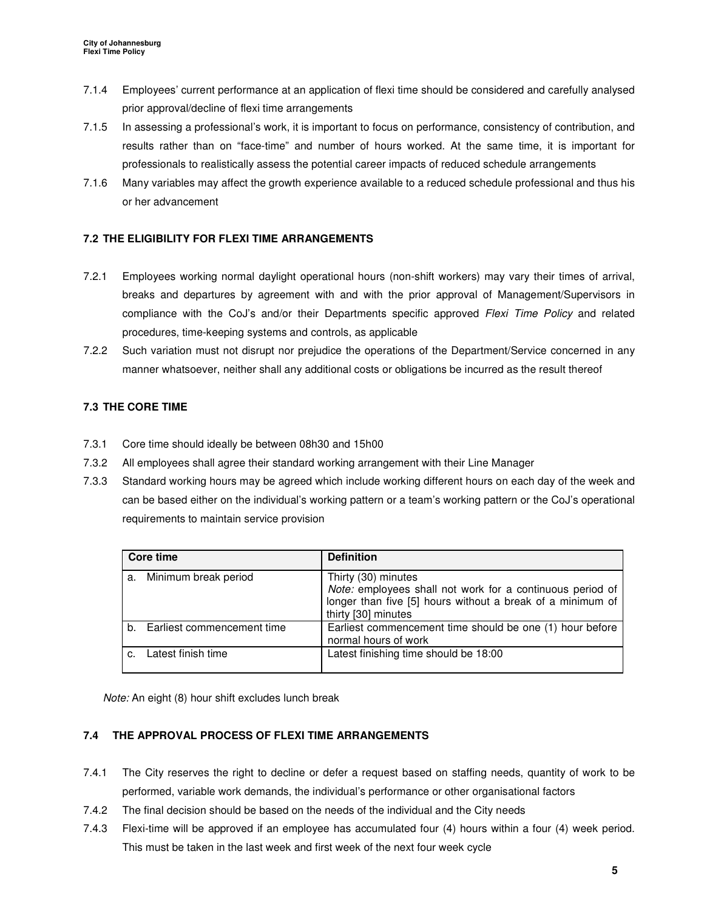- 7.1.4 Employees' current performance at an application of flexi time should be considered and carefully analysed prior approval/decline of flexi time arrangements
- 7.1.5 In assessing a professional's work, it is important to focus on performance, consistency of contribution, and results rather than on "face-time" and number of hours worked. At the same time, it is important for professionals to realistically assess the potential career impacts of reduced schedule arrangements
- 7.1.6 Many variables may affect the growth experience available to a reduced schedule professional and thus his or her advancement

# **7.2 THE ELIGIBILITY FOR FLEXI TIME ARRANGEMENTS**

- 7.2.1 Employees working normal daylight operational hours (non-shift workers) may vary their times of arrival, breaks and departures by agreement with and with the prior approval of Management/Supervisors in compliance with the CoJ's and/or their Departments specific approved Flexi Time Policy and related procedures, time-keeping systems and controls, as applicable
- 7.2.2 Such variation must not disrupt nor prejudice the operations of the Department/Service concerned in any manner whatsoever, neither shall any additional costs or obligations be incurred as the result thereof

# **7.3 THE CORE TIME**

- 7.3.1 Core time should ideally be between 08h30 and 15h00
- 7.3.2 All employees shall agree their standard working arrangement with their Line Manager
- 7.3.3 Standard working hours may be agreed which include working different hours on each day of the week and can be based either on the individual's working pattern or a team's working pattern or the CoJ's operational requirements to maintain service provision

| Core time |                               | <b>Definition</b>                                                                                                                                                     |
|-----------|-------------------------------|-----------------------------------------------------------------------------------------------------------------------------------------------------------------------|
| a.        | Minimum break period          | Thirty (30) minutes<br>Note: employees shall not work for a continuous period of<br>longer than five [5] hours without a break of a minimum of<br>thirty [30] minutes |
|           | b. Earliest commencement time | Earliest commencement time should be one (1) hour before<br>normal hours of work                                                                                      |
|           | Latest finish time            | Latest finishing time should be 18:00                                                                                                                                 |

Note: An eight (8) hour shift excludes lunch break

# **7.4 THE APPROVAL PROCESS OF FLEXI TIME ARRANGEMENTS**

- 7.4.1 The City reserves the right to decline or defer a request based on staffing needs, quantity of work to be performed, variable work demands, the individual's performance or other organisational factors
- 7.4.2 The final decision should be based on the needs of the individual and the City needs
- 7.4.3 Flexi-time will be approved if an employee has accumulated four (4) hours within a four (4) week period. This must be taken in the last week and first week of the next four week cycle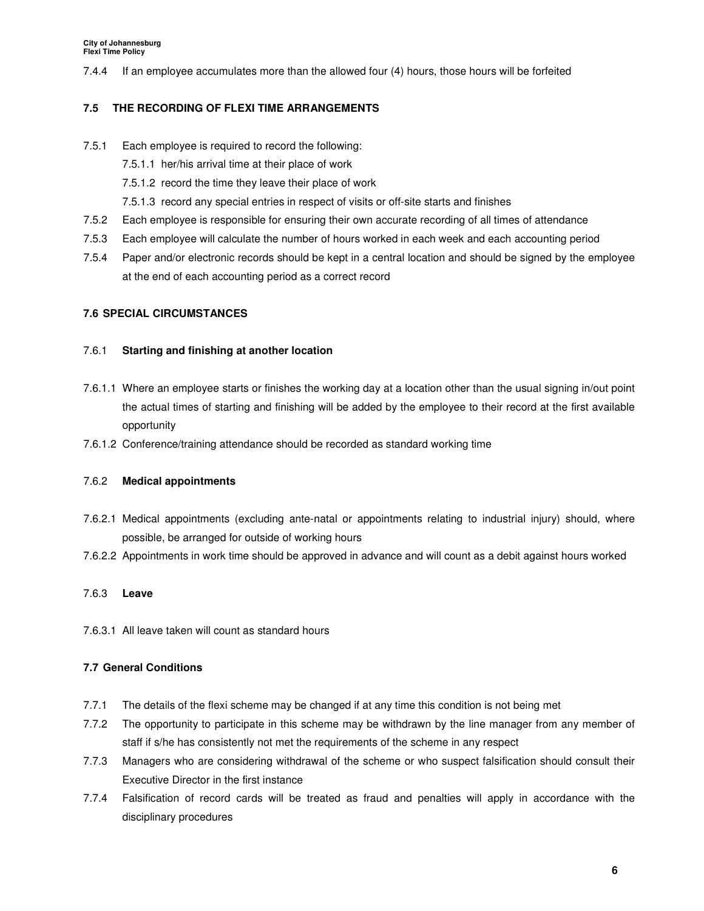7.4.4 If an employee accumulates more than the allowed four (4) hours, those hours will be forfeited

#### **7.5 THE RECORDING OF FLEXI TIME ARRANGEMENTS**

- 7.5.1 Each employee is required to record the following:
	- 7.5.1.1 her/his arrival time at their place of work
	- 7.5.1.2 record the time they leave their place of work
	- 7.5.1.3 record any special entries in respect of visits or off-site starts and finishes
- 7.5.2 Each employee is responsible for ensuring their own accurate recording of all times of attendance
- 7.5.3 Each employee will calculate the number of hours worked in each week and each accounting period
- 7.5.4 Paper and/or electronic records should be kept in a central location and should be signed by the employee at the end of each accounting period as a correct record

#### **7.6 SPECIAL CIRCUMSTANCES**

#### 7.6.1 **Starting and finishing at another location**

- 7.6.1.1 Where an employee starts or finishes the working day at a location other than the usual signing in/out point the actual times of starting and finishing will be added by the employee to their record at the first available opportunity
- 7.6.1.2 Conference/training attendance should be recorded as standard working time

#### 7.6.2 **Medical appointments**

- 7.6.2.1 Medical appointments (excluding ante-natal or appointments relating to industrial injury) should, where possible, be arranged for outside of working hours
- 7.6.2.2 Appointments in work time should be approved in advance and will count as a debit against hours worked

#### 7.6.3 **Leave**

7.6.3.1 All leave taken will count as standard hours

#### **7.7 General Conditions**

- 7.7.1 The details of the flexi scheme may be changed if at any time this condition is not being met
- 7.7.2 The opportunity to participate in this scheme may be withdrawn by the line manager from any member of staff if s/he has consistently not met the requirements of the scheme in any respect
- 7.7.3 Managers who are considering withdrawal of the scheme or who suspect falsification should consult their Executive Director in the first instance
- 7.7.4 Falsification of record cards will be treated as fraud and penalties will apply in accordance with the disciplinary procedures